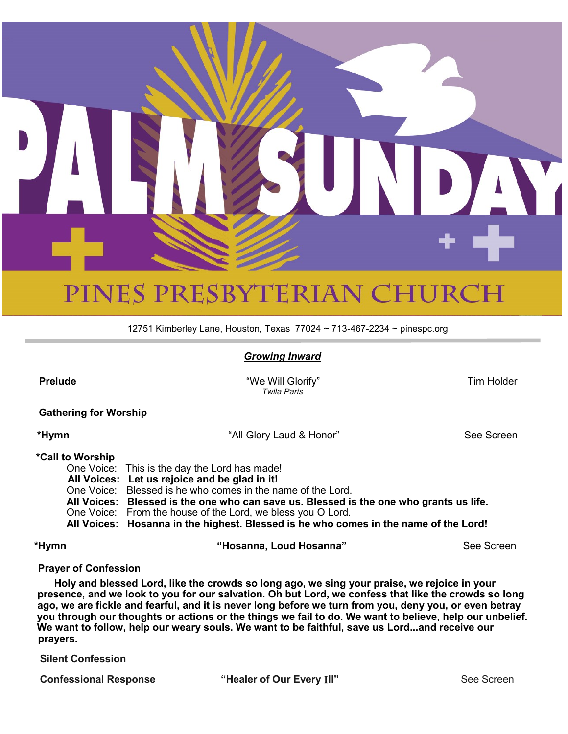

# PINES PRESBYTERIAN CHURCH

12751 Kimberley Lane, Houston, Texas 77024 ~ 713-467-2234 ~ pinespc.org

# *Growing Inward*

 **Prelude** "We Will Glorify" Tim Holder  *Twila Paris*

 **Gathering for Worship**

 **\*Hymn** "All Glory Laud & Honor" See Screen

### **\*Call to Worship**

One Voice: This is the day the Lord has made! **All Voices: Let us rejoice and be glad in it!** One Voice: Blessed is he who comes in the name of the Lord. **All Voices: Blessed is the one who can save us. Blessed is the one who grants us life.** One Voice: From the house of the Lord, we bless you O Lord. **All Voices: Hosanna in the highest. Blessed is he who comes in the name of the Lord!**

**\*Hymn "Hosanna, Loud Hosanna"** See Screen

#### **Prayer of Confession**

 **Holy and blessed Lord, like the crowds so long ago, we sing your praise, we rejoice in your presence, and we look to you for our salvation. Oh but Lord, we confess that like the crowds so long ago, we are fickle and fearful, and it is never long before we turn from you, deny you, or even betray you through our thoughts or actions or the things we fail to do. We want to believe, help our unbelief. We want to follow, help our weary souls. We want to be faithful, save us Lord...and receive our prayers.** 

**Silent Confession**

**Confessional Response**  $\qquad$  **"Healer of Our Every III"**  $\qquad$  **See Screen**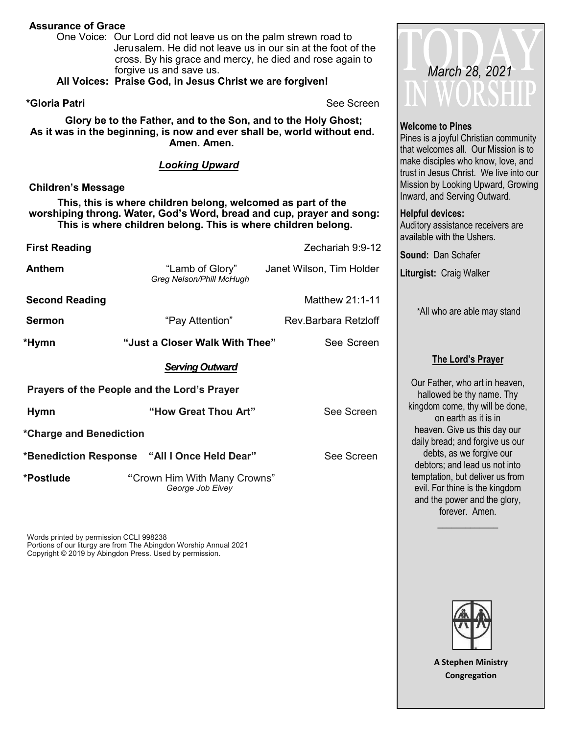# **Assurance of Grace**

One Voice: Our Lord did not leave us on the palm strewn road to Jerusalem. He did not leave us in our sin at the foot of the cross. By his grace and mercy, he died and rose again to forgive us and save us.

**All Voices: Praise God, in Jesus Christ we are forgiven!** 

**\*Gloria Patri** See Screen

**Glory be to the Father, and to the Son, and to the Holy Ghost; As it was in the beginning, is now and ever shall be, world without end. Amen. Amen.** 

*Looking Upward*

### **Children's Message**

 **This, this is where children belong, welcomed as part of the worshiping throng. Water, God's Word, bread and cup, prayer and song: This is where children belong. This is where children belong.**

| <b>First Reading</b>                        |                                                  | Zechariah 9:9-12         |  |  |  |  |
|---------------------------------------------|--------------------------------------------------|--------------------------|--|--|--|--|
| <b>Anthem</b>                               | "Lamb of Glory"<br>Greg Nelson/Phill McHugh      | Janet Wilson, Tim Holder |  |  |  |  |
| <b>Second Reading</b>                       |                                                  | Matthew 21:1-11          |  |  |  |  |
| <b>Sermon</b>                               | "Pay Attention"                                  | Rev.Barbara Retzloff     |  |  |  |  |
| *Hymn                                       | "Just a Closer Walk With Thee"                   | See Screen               |  |  |  |  |
|                                             | <b>Serving Outward</b>                           |                          |  |  |  |  |
| Prayers of the People and the Lord's Prayer |                                                  |                          |  |  |  |  |
| <b>Hymn</b>                                 | "How Great Thou Art"                             | See Screen               |  |  |  |  |
| *Charge and Benediction                     |                                                  |                          |  |  |  |  |
|                                             | *Benediction Response "All I Once Held Dear"     | See Screen               |  |  |  |  |
| *Postlude                                   | "Crown Him With Many Crowns"<br>George Job Elvey |                          |  |  |  |  |

Words printed by permission CCLI 998238 Portions of our liturgy are from The Abingdon Worship Annual 2021 Copyright © 2019 by Abingdon Press. Used by permission.



#### **Welcome to Pines**

Pines is a joyful Christian community that welcomes all. Our Mission is to make disciples who know, love, and trust in Jesus Christ. We live into our Mission by Looking Upward, Growing Inward, and Serving Outward.

#### **Helpful devices:**

Auditory assistance receivers are available with the Ushers.

**Sound:** Dan Schafer

**Liturgist:** Craig Walker

\*All who are able may stand

# **The Lord's Prayer**

Our Father, who art in heaven, hallowed be thy name. Thy kingdom come, thy will be done, on earth as it is in heaven. Give us this day our daily bread; and forgive us our debts, as we forgive our debtors; and lead us not into temptation, but deliver us from evil. For thine is the kingdom and the power and the glory, forever. Amen.

 $\overline{\phantom{a}}$  , where  $\overline{\phantom{a}}$ 

**A Stephen Ministry Congregation**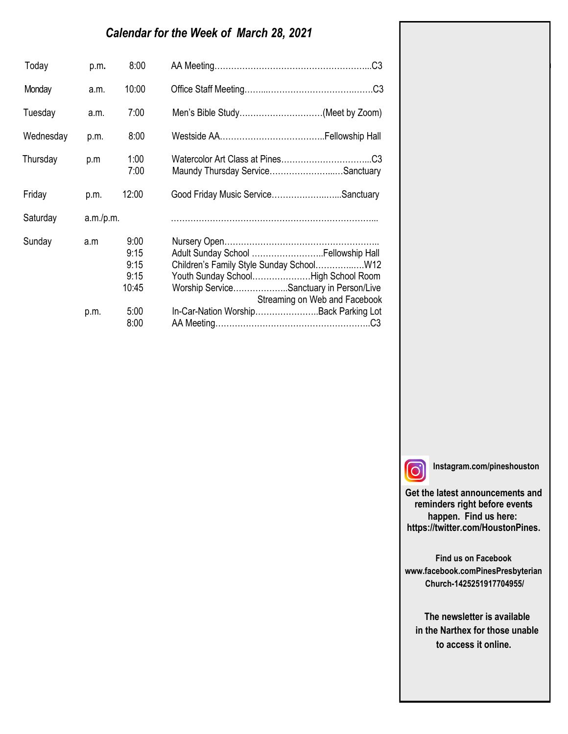# *Calendar for the Week of March 28, 2021*

| Today     | p.m.      | 8:00                                  |                                                                                                                                                         |
|-----------|-----------|---------------------------------------|---------------------------------------------------------------------------------------------------------------------------------------------------------|
| Monday    | a.m.      | 10:00                                 |                                                                                                                                                         |
| Tuesday   | a.m.      | 7:00                                  | Men's Bible Study(Meet by Zoom)                                                                                                                         |
| Wednesday | p.m.      | 8:00                                  |                                                                                                                                                         |
| Thursday  | p.m       | 1:00<br>7:00                          | Maundy Thursday ServiceSanctuary                                                                                                                        |
| Friday    | p.m.      | 12:00                                 | Good Friday Music ServiceSanctuary                                                                                                                      |
| Saturday  | a.m./p.m. |                                       |                                                                                                                                                         |
| Sunday    | a.m       | 9:00<br>9:15<br>9:15<br>9:15<br>10:45 | Adult Sunday School  Fellowship Hall<br>Youth Sunday SchoolHigh School Room<br>Worship ServiceSanctuary in Person/Live<br>Streaming on Web and Facebook |
|           | p.m.      | 5:00<br>8:00                          | In-Car-Nation WorshipBack Parking Lot                                                                                                                   |

 $\overline{\phantom{a}}$  $\overline{\phantom{a}}$ 

**Instagram.com/pineshouston**

**Get the latest announcements and reminders right before events happen. Find us here: https://twitter.com/HoustonPines.** 

Gloria Anderson Morriss Partee Norma Bender Georgette Person Jean Breitenwischer Nancy Robinson Barbara Caffall Virginia Smith

**Find us on Facebook www.facebook.comPinesPresbyterian Church-1425251917704955/**

 **The newsletter is available in the Narthex for those unable to access it online.**